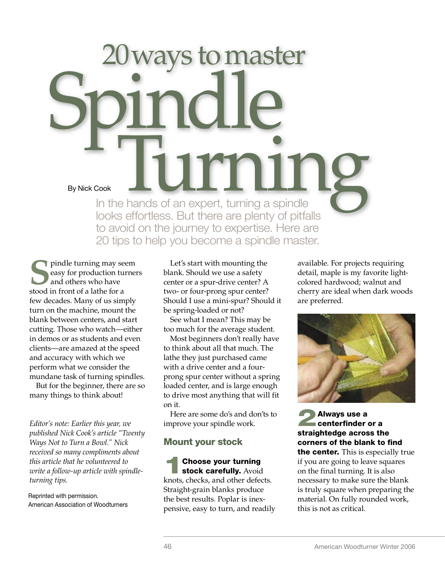# 20 ways to master By Nick Cook<br>In the hands of an expert, turning a spindle By Nick Cook In the hands of an expert, turning a spindle looks effortless. But there are plenty of pitfalls to avoid on the journey to expertise. Here are 20 tips to help you become a spindle master.

**S**pindle turning may seem<br>and others who have<br>stood in front of a lathe for a easy for production turners and others who have stood in front of a lathe for a few decades. Many of us simply turn on the machine, mount the blank between centers, and start cutting. Those who watch—either in demos or as students and even clients—are amazed at the speed and accuracy with which we perform what we consider the mundane task of turning spindles.

But for the beginner, there are so many things to think about!

*Editor's note: Earlier this year, we published Nick Cook's article "Twenty Ways Not to Turn a Bowl." Nick received so many compliments about this article that he volunteered to write a follow-up article with spindleturning tips.* 

Reprinted with permission. American Association of Woodturners

Let's start with mounting the blank. Should we use a safety center or a spur-drive center? A two- or four-prong spur center? Should I use a mini-spur? Should it be spring-loaded or not?

See what I mean? This may be too much for the average student.

Most beginners don't really have to think about all that much. The lathe they just purchased came with a drive center and a fourprong spur center without a spring loaded center, and is large enough to drive most anything that will fit on it.

Here are some do's and don'ts to improve your spindle work.

## Mount your stock

**1 Choose your turning<br>stock carefully.** Avoid knots, checks, and other defects. Straight-grain blanks produce the best results. Poplar is inexpensive, easy to turn, and readily available. For projects requiring detail, maple is my favorite lightcolored hardwood; walnut and cherry are ideal when dark woods are preferred.



**2**<br>**2** Always use a<br>**chromated as across** the straightedge across the corners of the blank to find the center. This is especially true if you are going to leave squares on the final turning. It is also necessary to make sure the blank is truly square when preparing the material. On fully rounded work, this is not as critical.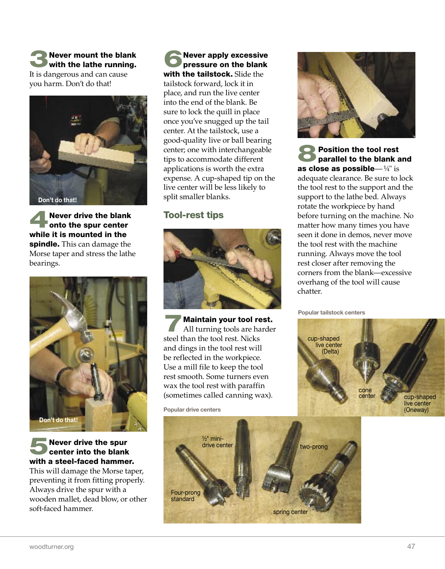3Never mount the blank with the lathe running. It is dangerous and can cause you harm. Don't do that!



Never drive the blank onto the spur center while it is mounted in the spindle. This can damage the Morse taper and stress the lathe bearings.



#### 5Never drive the spur center into the blank with a steel-faced hammer.

This will damage the Morse taper, preventing it from fitting properly. Always drive the spur with a wooden mallet, dead blow, or other soft-faced hammer.

**6**Never apply excessive<br>pressure on the blank<br>with the tailateak filid the with the tailstock. Slide the tailstock forward, lock it in place, and run the live center into the end of the blank. Be sure to lock the quill in place once you've snugged up the tail center. At the tailstock, use a good-quality live or ball bearing center; one with interchangeable tips to accommodate different applications is worth the extra expense. A cup-shaped tip on the live center will be less likely to split smaller blanks.

#### Tool-rest tips



7Maintain your tool rest. All turning tools are harder steel than the tool rest. Nicks and dings in the tool rest will be reflected in the workpiece. Use a mill file to keep the tool rest smooth. Some turners even wax the tool rest with paraffin (sometimes called canning wax).

Popular drive centers





**8Position the tool rest**<br> **parallel to the blank and** as close as possible— $\frac{1}{4}$ " is adequate clearance. Be sure to lock the tool rest to the support and the support to the lathe bed. Always rotate the workpiece by hand before turning on the machine. No matter how many times you have seen it done in demos, never move the tool rest with the machine running. Always move the tool rest closer after removing the corners from the blank—excessive overhang of the tool will cause chatter.

Popular tailstock centers

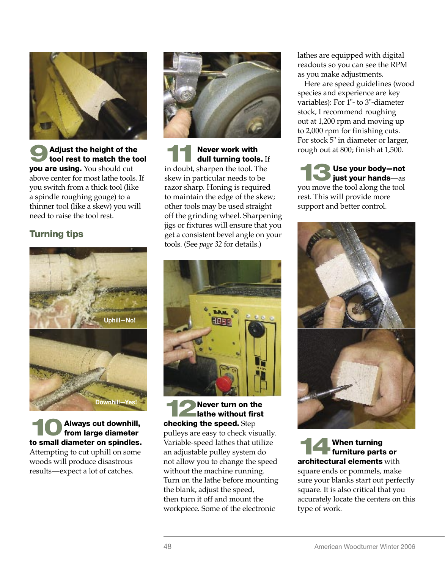

**9**Adjust the height of the tool rest to match the tool vou are using. You should cut above center for most lathe tools. If you switch from a thick tool (like a spindle roughing gouge) to a thinner tool (like a skew) you will need to raise the tool rest.

# Turning tips



Always cut downhill, from large diameter to small diameter on spindles. Attempting to cut uphill on some woods will produce disastrous results—expect a lot of catches.



**11 Never work with<br>
dull turning tools.** If in doubt, sharpen the tool. The skew in particular needs to be razor sharp. Honing is required to maintain the edge of the skew; other tools may be used straight off the grinding wheel. Sharpening jigs or fixtures will ensure that you get a consistent bevel angle on your tools. (See *page 32* for details.)



**12**Never turn on the checking the speed. Step pulleys are easy to check visually. Variable-speed lathes that utilize an adjustable pulley system do not allow you to change the speed without the machine running. Turn on the lathe before mounting the blank, adjust the speed, then turn it off and mount the workpiece. Some of the electronic

lathes are equipped with digital readouts so you can see the RPM as you make adjustments.

Here are speed guidelines (wood species and experience are key variables): For 1"- to 3"-diameter stock, I recommend roughing out at 1,200 rpm and moving up to 2,000 rpm for finishing cuts. For stock 5" in diameter or larger, rough out at 800; finish at 1,500.

13Use your body—not just your hands—as you move the tool along the tool rest. This will provide more support and better control.



**When turning** furniture parts or **architectural elements** with square ends or pommels, make sure your blanks start out perfectly square. It is also critical that you accurately locate the centers on this type of work.